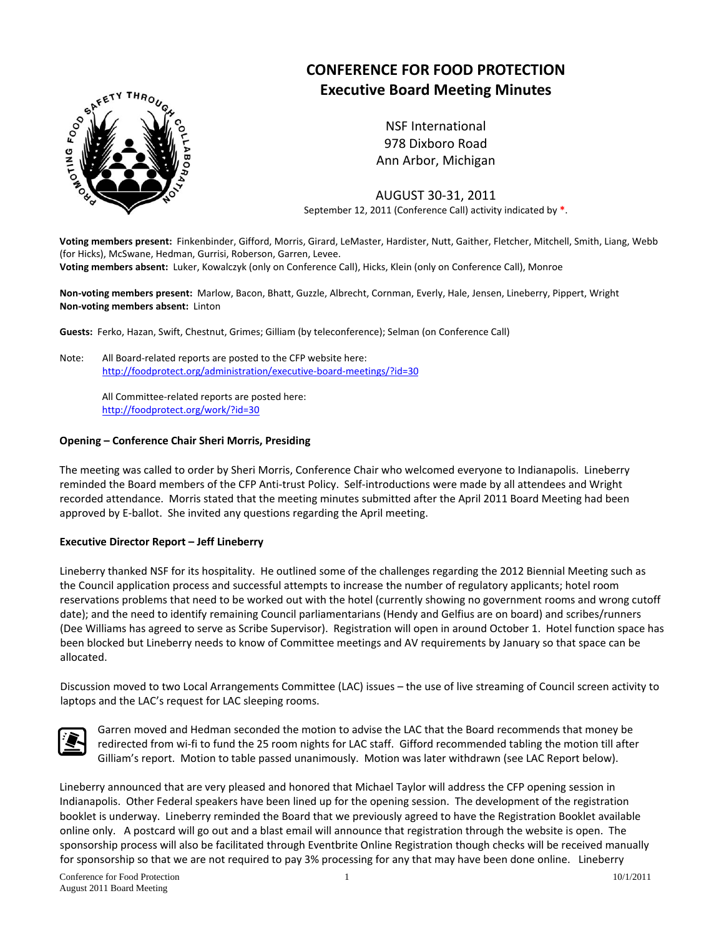

# **CONFERENCE FOR FOOD PROTECTION Executive Board Meeting Minutes**

NSF International 978 Dixboro Road Ann Arbor, Michigan

AUGUST 30‐31, 2011 September 12, 2011 (Conference Call) activity indicated by **\***.

**Voting members present:** Finkenbinder, Gifford, Morris, Girard, LeMaster, Hardister, Nutt, Gaither, Fletcher, Mitchell, Smith, Liang, Webb (for Hicks), McSwane, Hedman, Gurrisi, Roberson, Garren, Levee. **Voting members absent:** Luker, Kowalczyk (only on Conference Call), Hicks, Klein (only on Conference Call), Monroe

**Non‐voting members present:** Marlow, Bacon, Bhatt, Guzzle, Albrecht, Cornman, Everly, Hale, Jensen, Lineberry, Pippert, Wright **Non‐voting members absent:** Linton

**Guests:** Ferko, Hazan, Swift, Chestnut, Grimes; Gilliam (by teleconference); Selman (on Conference Call)

Note: All Board‐related reports are posted to the CFP website here: [http://foodprotect.org/administration/executive](http://foodprotect.org/administration/executive-board-meetings/?id=30)‐board‐meetings/?id=30

> All Committee‐related reports are posted here: <http://foodprotect.org/work/?id=30>

#### **Opening – Conference Chair Sheri Morris, Presiding**

The meeting was called to order by Sheri Morris, Conference Chair who welcomed everyone to Indianapolis. Lineberry reminded the Board members of the CFP Anti‐trust Policy. Self‐introductions were made by all attendees and Wright recorded attendance. Morris stated that the meeting minutes submitted after the April 2011 Board Meeting had been approved by E-ballot. She invited any questions regarding the April meeting.

#### **Executive Director Report – Jeff Lineberry**

Lineberry thanked NSF for its hospitality. He outlined some of the challenges regarding the 2012 Biennial Meeting such as the Council application process and successful attempts to increase the number of regulatory applicants; hotel room reservations problems that need to be worked out with the hotel (currently showing no government rooms and wrong cutoff date); and the need to identify remaining Council parliamentarians (Hendy and Gelfius are on board) and scribes/runners (Dee Williams has agreed to serve as Scribe Supervisor). Registration will open in around October 1. Hotel function space has been blocked but Lineberry needs to know of Committee meetings and AV requirements by January so that space can be allocated.

Discussion moved to two Local Arrangements Committee (LAC) issues – the use of live streaming of Council screen activity to laptops and the LAC's request for LAC sleeping rooms.



Garren moved and Hedman seconded the motion to advise the LAC that the Board recommends that money be redirected from wi‐fi to fund the 25 room nights for LAC staff. Gifford recommended tabling the motion till after Gilliam's report. Motion to table passed unanimously. Motion was later withdrawn (see LAC Report below).

Lineberry announced that are very pleased and honored that Michael Taylor will address the CFP opening session in Indianapolis. Other Federal speakers have been lined up for the opening session. The development of the registration booklet is underway. Lineberry reminded the Board that we previously agreed to have the Registration Booklet available online only. A postcard will go out and a blast email will announce that registration through the website is open. The sponsorship process will also be facilitated through Eventbrite Online Registration though checks will be received manually for sponsorship so that we are not required to pay 3% processing for any that may have been done online. Lineberry

Conference for Food Protection 1 10/1/2011 August 2011 Board Meeting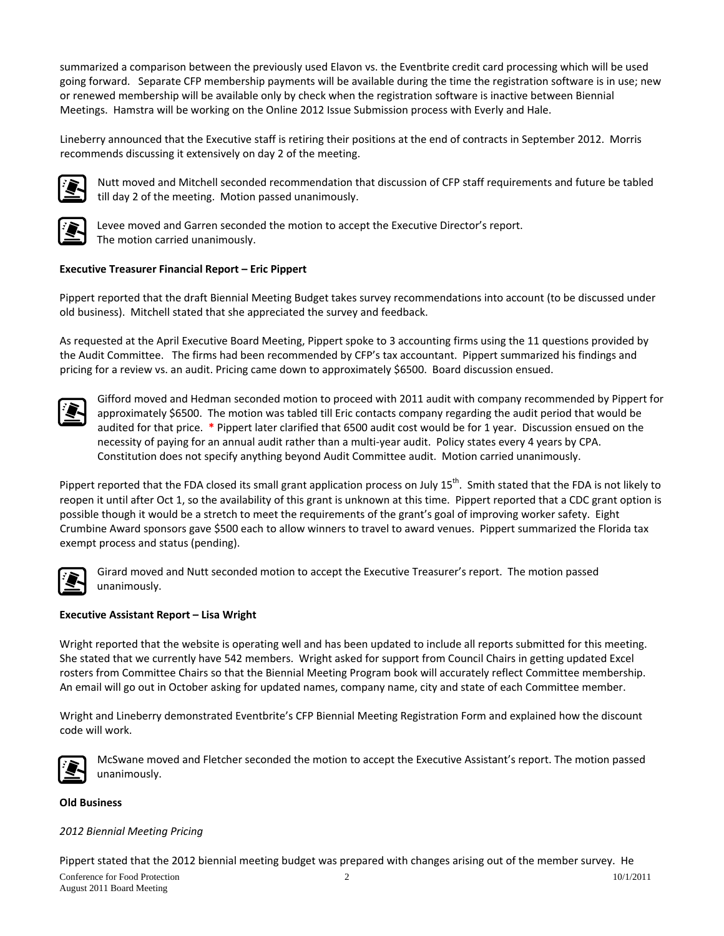summarized a comparison between the previously used Elavon vs. the Eventbrite credit card processing which will be used going forward. Separate CFP membership payments will be available during the time the registration software is in use; new or renewed membership will be available only by check when the registration software is inactive between Biennial Meetings. Hamstra will be working on the Online 2012 Issue Submission process with Everly and Hale.

Lineberry announced that the Executive staff is retiring their positions at the end of contracts in September 2012. Morris recommends discussing it extensively on day 2 of the meeting.



Nutt moved and Mitchell seconded recommendation that discussion of CFP staff requirements and future be tabled till day 2 of the meeting. Motion passed unanimously.



Levee moved and Garren seconded the motion to accept the Executive Director's report. The motion carried unanimously.

# **Executive Treasurer Financial Report – Eric Pippert**

Pippert reported that the draft Biennial Meeting Budget takes survey recommendations into account (to be discussed under old business). Mitchell stated that she appreciated the survey and feedback.

As requested at the April Executive Board Meeting, Pippert spoke to 3 accounting firms using the 11 questions provided by the Audit Committee. The firms had been recommended by CFP's tax accountant. Pippert summarized his findings and pricing for a review vs. an audit. Pricing came down to approximately \$6500. Board discussion ensued.



Gifford moved and Hedman seconded motion to proceed with 2011 audit with company recommended by Pippert for approximately \$6500. The motion was tabled till Eric contacts company regarding the audit period that would be audited for that price. **\*** Pippert later clarified that 6500 audit cost would be for 1 year. Discussion ensued on the necessity of paying for an annual audit rather than a multi‐year audit. Policy states every 4 years by CPA. Constitution does not specify anything beyond Audit Committee audit. Motion carried unanimously.

Pippert reported that the FDA closed its small grant application process on July  $15^{th}$ . Smith stated that the FDA is not likely to reopen it until after Oct 1, so the availability of this grant is unknown at this time. Pippert reported that a CDC grant option is possible though it would be a stretch to meet the requirements of the grant's goal of improving worker safety. Eight Crumbine Award sponsors gave \$500 each to allow winners to travel to award venues. Pippert summarized the Florida tax exempt process and status (pending).



unanimously. Girard moved and Nutt seconded motion to accept the Executive Treasurer's report. The motion passed

# **xecutive Assistant Report – Lisa Wright E**

Wright reported that the website is operating well and has been updated to include all reports submitted for this meeting. rosters from Committee Chairs so that the Biennial Meeting Program book will accurately reflect Committee membership. An email will go out in October asking for updated names, company name, city and state of each Committee member. She stated that we currently have 542 members. Wright asked for support from Council Chairs in getting updated Excel

Wright and Lineberry demonstrated Eventbrite's CFP Biennial Meeting Registration Form and explained how the discount code will work.



McSwane moved and Fletcher seconded the motion to accept the Executive Assistant's report. The motion passed unanimously.

# **ld Business O**

# *012 Biennial Meeting Pricing 2*

Pippert stated that the 2012 biennial meeting budget was prepared with changes arising out of the member survey. He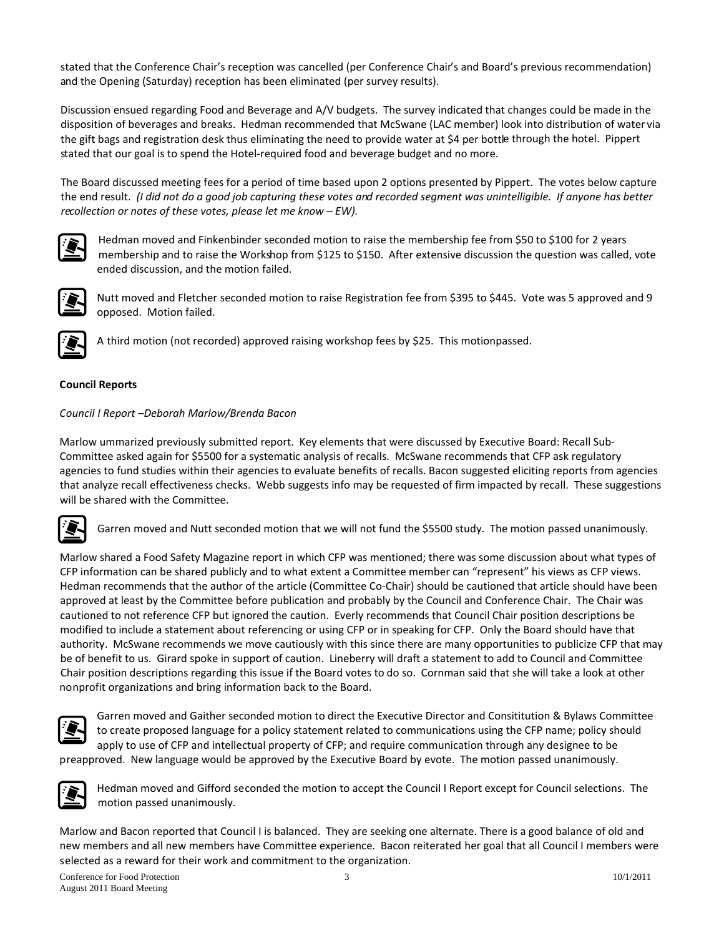stated that the Conference Chair's reception was cancelled (per Conference Chair's and Board's previous recommendation) and the Opening (Saturday) reception has been eliminated (per survey results).

disposition of beverages and breaks. Hedman recommended that McSwane (LAC member) look into distribution of water via the gift bags and registration desk thus eliminating the need to provide water at \$4 per bottle through the hotel. Pippert tated that our goal is to spend the Hotel‐required food and beverage budget and no more. s Discussion ensued regarding Food and Beverage and A/V budgets. The survey indicated that changes could be made in the

the end result. (I did not do a good job capturing these votes and recorded segment was unintelligible. If anyone has better *collection or notes of these votes, please let me know – EW). re* The Board discussed meeting fees for a period of time based upon 2 options presented by Pippert. The votes below capture



membership and to raise the Workshop from \$125 to \$150. After extensive discussion the question was called, vote ended discussion, and the motion failed. Hedman moved and Finkenbinder seconded motion to raise the membership fee from \$50 to \$100 for 2 years



Nutt moved and Fletcher seconded motion to raise Registration fee from \$395 to \$445. Vote was 5 approved and 9 opposed. Motion failed.



A third motion (not recorded) approved raising workshop fees by \$25. This motionpassed.

# **ouncil Reports C**

# *ouncil I Report –Deborah Marlow/Brenda Bacon C*

that analyze recall effectiveness checks. Webb suggests info may be requested of firm impacted by recall. These suggestions will be shared with the Committee. Marlow ummarized previously submitted report. Key elements that were discussed by Executive Board: Recall Sub‐ Committee asked again for \$5500 for a systematic analysis of recalls. McSwane recommends that CFP ask regulatory agencies to fund studies within their agencies to evaluate benefits of recalls. Bacon suggested eliciting reports from agencies

Garren moved and Nutt seconded motion that we will not fund the \$5500 study. The motion passed unanimously.

Hedman recommends that the author of the article (Committee Co-Chair) should be cautioned that article should have been authority. McSwane recommends we move cautiously with this since there are many opportunities to publicize CFP that may Chair position descriptions regarding this issue if the Board votes to do so. Cornman said that she will take a look at other nprofit organizations and bring information back to the Board. no Marlow shared a Food Safety Magazine report in which CFP was mentioned; there was some discussion about what types of CFP information can be shared publicly and to what extent a Committee member can "represent" his views as CFP views. approved at least by the Committee before publication and probably by the Council and Conference Chair. The Chair was cautioned to not reference CFP but ignored the caution. Everly recommends that Council Chair position descriptions be modified to include a statement about referencing or using CFP or in speaking for CFP. Only the Board should have that be of benefit to us. Girard spoke in support of caution. Lineberry will draft a statement to add to Council and Committee



apply to use of CFP and intellectual property of CFP; and require communication through any designee to be preapproved. New language would be approved by the Executive Board by evote. The motion passed unanimously. Garren moved and Gaither seconded motion to direct the Executive Director and Consititution & Bylaws Committee to create proposed language for a policy statement related to communications using the CFP name; policy should

Hedman moved and Gifford seconded the motion to accept the Council I Report except for Council selections. The motion passed unanimously.

new members and all new members have Committee experience. Bacon reiterated her goal that all Council I members were selected as a reward for their work and commitment to the organization. Marlow and Bacon reported that Council I is balanced. They are seeking one alternate. There is a good balance of old and

Conference for Food Protection 3 10/1/2011 August 2011 Board Meeting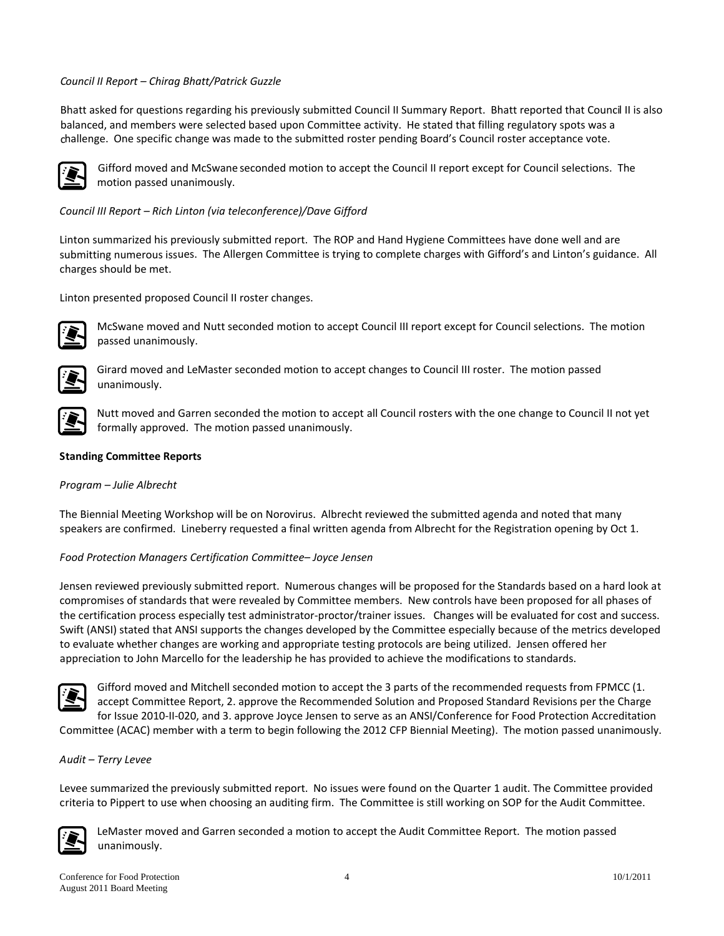# *ouncil II Report – Chirag Bhatt/Patrick Guzzle C*

Bhatt asked for questions regarding his previously submitted Council II Summary Report. Bhatt reported that Council II is also challenge. One specific change was made to the submitted roster pending Board's Council roster acceptance vote. balanced, and members were selected based upon Committee activity. He stated that filling regulatory spots was a



Gifford moved and McSwane seconded motion to accept the Council II report except for Council selections. The motion passed unanimously.

# *ouncil III Report – Rich Linton (via teleconference)/Dave Gifford C*

submitting numerous issues. The Allergen Committee is trying to complete charges with Gifford's and Linton's guidance. All charges should be met. Linton summarized his previously submitted report. The ROP and Hand Hygiene Committees have done well and are

Linton presented proposed Council II roster changes.



McSwane moved and Nutt seconded motion to accept Council III report except for Council selections. The motion passed unanimously.



Girard moved and LeMaster seconded motion to accept changes to Council III roster. The motion passed unanimously.



Nutt moved and Garren seconded the motion to accept all Council rosters with the one change to Council II not yet formally approved. The motion passed unanimously.

### **tanding Committee Reports S**

### *rogram – Julie Albrecht P*

speakers are confirmed. Lineberry requested a final written agenda from Albrecht for the Registration opening by Oct 1. The Biennial Meeting Workshop will be on Norovirus. Albrecht reviewed the submitted agenda and noted that many

### *ood Protection Managers Certification Committee– Joyce Jensen F*

Jensen reviewed previously submitted report. Numerous changes will be proposed for the Standards based on a hard look at Swift (ANSI) stated that ANSI supports the changes developed by the Committee especially because of the metrics developed to evaluate whether changes are working and appropriate testing protocols are being utilized. Jensen offered her appreciation to John Marcello for the leadership he has provided to achieve the modifications to standards. compromises of standards that were revealed by Committee members. New controls have been proposed for all phases of the certification process especially test administrator‐proctor/trainer issues. Changes will be evaluated for cost and success.



Committee (ACAC) member with a term to begin following the 2012 CFP Biennial Meeting). The motion passed unanimously. Gifford moved and Mitchell seconded motion to accept the 3 parts of the recommended requests from FPMCC (1. accept Committee Report, 2. approve the Recommended Solution and Proposed Standard Revisions per the Charge for Issue 2010‐II‐020, and 3. approve Joyce Jensen to serve as an ANSI/Conference for Food Protection Accreditation

# *udit – Terry Levee A*

riteria to Pippert to use when choosing an auditing firm. The Committee is still working on SOP for the Audit Committee. c Levee summarized the previously submitted report. No issues were found on the Quarter 1 audit. The Committee provided



LeMaster moved and Garren seconded a motion to accept the Audit Committee Report. The motion passed unanimously.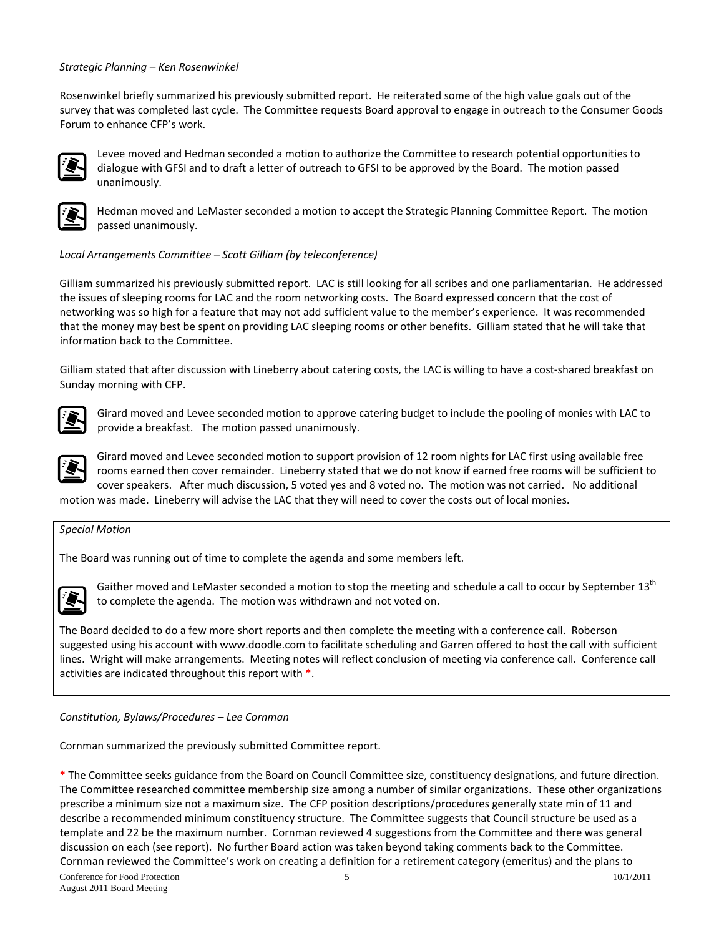#### *trategic Planning – Ken Rosenwinkel S*

survey that was completed last cycle. The Committee requests Board approval to engage in outreach to the Consumer Goods Forum to enhance CFP's work. Rosenwinkel briefly summarized his previously submitted report. He reiterated some of the high value goals out of the



Levee moved and Hedman seconded a motion to authorize the Committee to research potential opportunities to dialogue with GFSI and to draft a letter of outreach to GFSI to be approved by the Board. The motion passed unanimously.



Hedman moved and LeMaster seconded a motion to accept the Strategic Planning Committee Report. The motion passed unanimously.

#### Local Arrangements Committee – Scott Gilliam (by teleconference)

that the money may best be spent on providing LAC sleeping rooms or other benefits. Gilliam stated that he will take that information back to the Committee. Gilliam summarized his previously submitted report. LAC is still looking for all scribes and one parliamentarian. He addressed the issues of sleeping rooms for LAC and the room networking costs. The Board expressed concern that the cost of networking was so high for a feature that may not add sufficient value to the member's experience. It was recommended

Gilliam stated that after discussion with Lineberry about catering costs, the LAC is willing to have a cost-shared breakfast on Sunday morning with CFP.



Girard moved and Levee seconded motion to approve catering budget to include the pooling of monies with LAC to provide a breakfast. The motion passed unanimously.



rooms earned then cover remainder. Lineberry stated that we do not know if earned free rooms will be sufficient to cover speakers. After much discussion, 5 voted yes and 8 voted no. The motion was not carried. No additional Girard moved and Levee seconded motion to support provision of 12 room nights for LAC first using available free

motion was made. Lineberry will advise the LAC that they will need to cover the costs out of local monies.

#### *pecial Motion S*

The Board was running out of time to complete the agenda and some members left.



Gaither moved and LeMaster seconded a motion to stop the meeting and schedule a call to occur by September 13<sup>th</sup> to complete the agenda. The motion was withdrawn and not voted on.

lines. Wright will make arrangements. Meeting notes will reflect conclusion of meeting via conference call. Conference call activities are indicated throughout this report with \*. The Board decided to do a few more short reports and then complete the meeting with a conference call. Roberson suggested using his account with www.doodle.com to facilitate scheduling and Garren offered to host the call with sufficient

#### *Constitution, Bylaws/Procedures – Lee Cornman*

Cornman summarized the previously submitted Committee report.

The Committee researched committee membership size among a number of similar organizations. These other organizations **\*** The Committee seeks guidance from the Board on Council Committee size, constituency designations, and future direction. prescribe a minimum size not a maximum size. The CFP position descriptions/procedures generally state min of 11 and describe a recommended minimum constituency structure. The Committee suggests that Council structure be used as a template and 22 be the maximum number. Cornman reviewed 4 suggestions from the Committee and there was general discussion on each (see report). No further Board action was taken beyond taking comments back to the Committee. Cornman reviewed the Committee's work on creating a definition for a retirement category (emeritus) and the plans to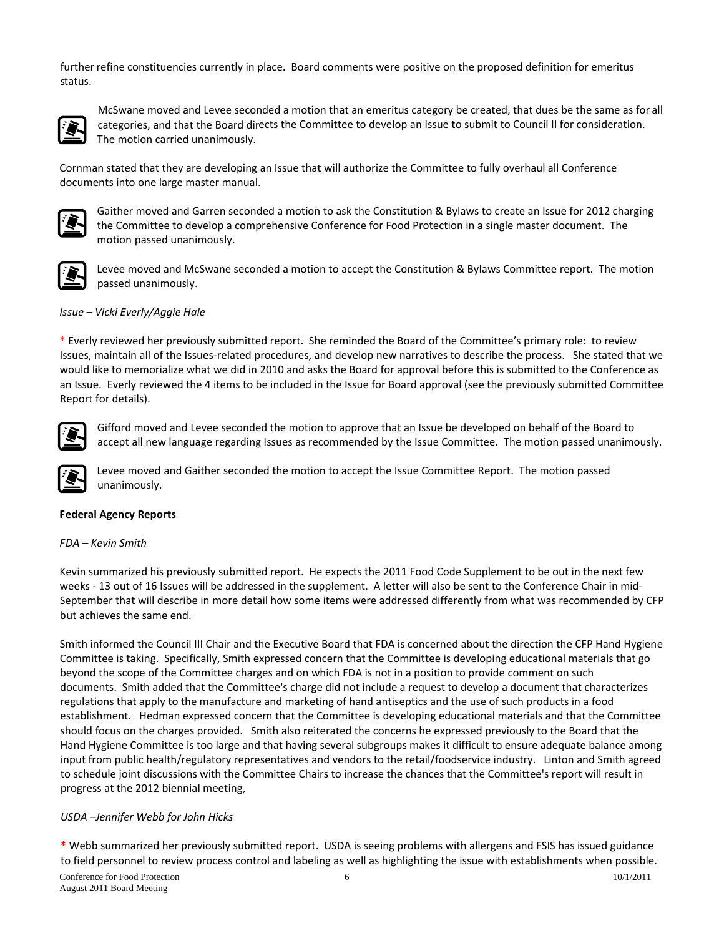further refine constituencies currently in place. Board comments were positive on the proposed definition for emeritus status.



McSwane moved and Levee seconded a motion that an emeritus category be created, that dues be the same as for all categories, and that the Board directs the Committee to develop an Issue to submit to Council II for consideration. The motion carried unanimously.

Cornman stated that they are developing an Issue that will authorize the Committee to fully overhaul all Conference documents into one large master manual.



the Committee to develop a comprehensive Conference for Food Protection in a single master document. The motion passed unanimously. Gaither moved and Garren seconded a motion to ask the Constitution & Bylaws to create an Issue for 2012 charging



Levee moved and McSwane seconded a motion to accept the Constitution & Bylaws Committee report. The motion passed unanimously.

### *sue – Vicki Everly/Aggie Hale Is*

an Issue. Everly reviewed the 4 items to be included in the Issue for Board approval (see the previously submitted Committee Report for details). **\*** Everly reviewed her previously submitted report.She reminded the Board of the Committee's primary role: to review Issues, maintain all of the Issues‐related procedures, and develop new narratives to describe the process. She stated that we would like to memorialize what we did in 2010 and asks the Board for approval before this is submitted to the Conference as



accept all new language regarding Issues as recommended by the Issue Committee. The motion passed unanimously. Gifford moved and Levee seconded the motion to approve that an Issue be developed on behalf of the Board to

Levee moved and Gaither seconded the motion to accept the Issue Committee Report. The motion passed unanimously.

# **Federal Agency Reports**

#### *DA – Kevin Smith F*

September that will describe in more detail how some items were addressed differently from what was recommended by CFP but achieves the same end. Kevin summarized his previously submitted report. He expects the 2011 Food Code Supplement to be out in the next few weeks - 13 out of 16 Issues will be addressed in the supplement. A letter will also be sent to the Conference Chair in mid-

Smith informed the Council III Chair and the Executive Board that FDA is concerned about the direction the CFP Hand Hygiene Committee is taking. Specifically, Smith expressed concern that the Committee is developing educational materials that go documents. Smith added that the Committee's charge did not include a request to develop a document that characterizes establishment. Hedman expressed concern that the Committee is developing educational materials and that the Committee input from public health/regulatory representatives and vendors to the retail/foodservice industry. Linton and Smith agreed to schedule joint discussions with the Committee Chairs to increase the chances that the Committee's report will result in rogress at the 2012 biennial meeting, p beyond the scope of the Committee charges and on which FDA is not in a position to provide comment on such regulations that apply to the manufacture and marketing of hand antiseptics and the use of such products in a food should focus on the charges provided. Smith also reiterated the concerns he expressed previously to the Board that the Hand Hygiene Committee is too large and that having several subgroups makes it difficult to ensure adequate balance among

# *SDA –Jennifer Webb for John Hicks U*

**\*** Webb summarized her previously submitted report. USDA is seeing problems with allergens and FSIS has issued guidance to field personnel to review process control and labeling as well as highlighting the issue with establishments when possible.